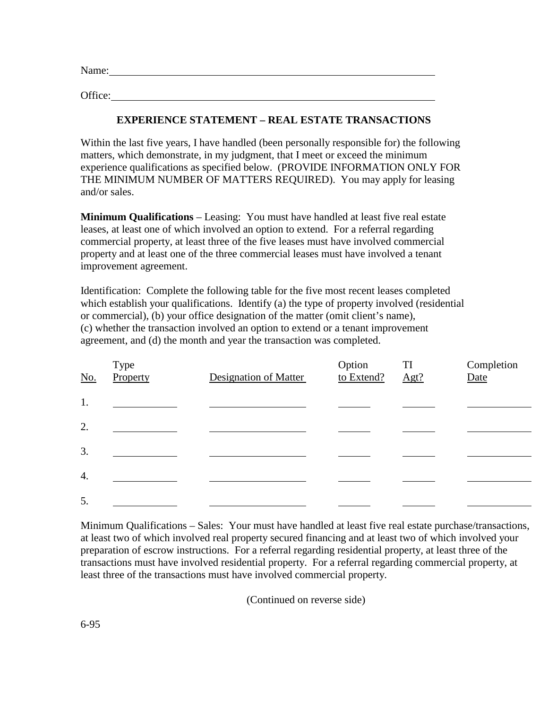Name:

Office:

## **EXPERIENCE STATEMENT – REAL ESTATE TRANSACTIONS**

Within the last five years, I have handled (been personally responsible for) the following matters, which demonstrate, in my judgment, that I meet or exceed the minimum experience qualifications as specified below. (PROVIDE INFORMATION ONLY FOR THE MINIMUM NUMBER OF MATTERS REQUIRED). You may apply for leasing and/or sales.

**Minimum Qualifications** – Leasing: You must have handled at least five real estate leases, at least one of which involved an option to extend. For a referral regarding commercial property, at least three of the five leases must have involved commercial property and at least one of the three commercial leases must have involved a tenant improvement agreement.

Identification: Complete the following table for the five most recent leases completed which establish your qualifications. Identify (a) the type of property involved (residential or commercial), (b) your office designation of the matter (omit client's name), (c) whether the transaction involved an option to extend or a tenant improvement agreement, and (d) the month and year the transaction was completed.

| No.              | Type<br>Property | <b>Designation of Matter</b> | Option<br>to Extend? | TI<br>Agt? | Completion<br>Date |
|------------------|------------------|------------------------------|----------------------|------------|--------------------|
| 1.               |                  |                              |                      |            |                    |
| 2.               |                  |                              |                      |            |                    |
| 3.               |                  |                              |                      |            |                    |
| $\overline{4}$ . |                  |                              |                      |            |                    |
| 5.               |                  |                              |                      |            |                    |

Minimum Qualifications – Sales: Your must have handled at least five real estate purchase/transactions, at least two of which involved real property secured financing and at least two of which involved your preparation of escrow instructions. For a referral regarding residential property, at least three of the transactions must have involved residential property. For a referral regarding commercial property, at least three of the transactions must have involved commercial property.

(Continued on reverse side)